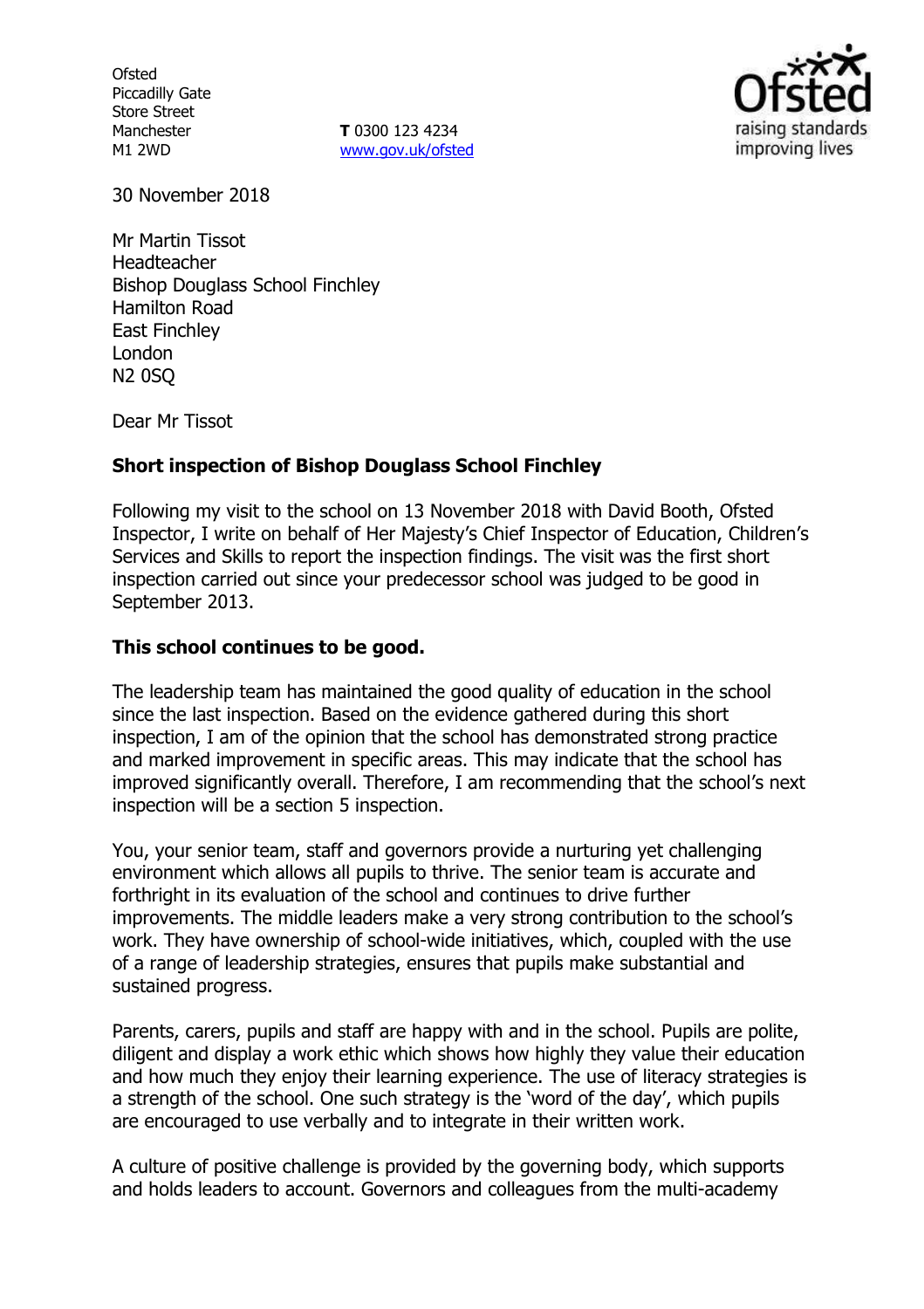**Ofsted** Piccadilly Gate Store Street Manchester M1 2WD

**T** 0300 123 4234 www.gov.uk/ofsted



30 November 2018

Mr Martin Tissot Headteacher Bishop Douglass School Finchley Hamilton Road East Finchley London N2 0SQ

Dear Mr Tissot

### **Short inspection of Bishop Douglass School Finchley**

Following my visit to the school on 13 November 2018 with David Booth, Ofsted Inspector, I write on behalf of Her Majesty's Chief Inspector of Education, Children's Services and Skills to report the inspection findings. The visit was the first short inspection carried out since your predecessor school was judged to be good in September 2013.

#### **This school continues to be good.**

The leadership team has maintained the good quality of education in the school since the last inspection. Based on the evidence gathered during this short inspection, I am of the opinion that the school has demonstrated strong practice and marked improvement in specific areas. This may indicate that the school has improved significantly overall. Therefore, I am recommending that the school's next inspection will be a section 5 inspection.

You, your senior team, staff and governors provide a nurturing yet challenging environment which allows all pupils to thrive. The senior team is accurate and forthright in its evaluation of the school and continues to drive further improvements. The middle leaders make a very strong contribution to the school's work. They have ownership of school-wide initiatives, which, coupled with the use of a range of leadership strategies, ensures that pupils make substantial and sustained progress.

Parents, carers, pupils and staff are happy with and in the school. Pupils are polite, diligent and display a work ethic which shows how highly they value their education and how much they enjoy their learning experience. The use of literacy strategies is a strength of the school. One such strategy is the 'word of the day', which pupils are encouraged to use verbally and to integrate in their written work.

A culture of positive challenge is provided by the governing body, which supports and holds leaders to account. Governors and colleagues from the multi-academy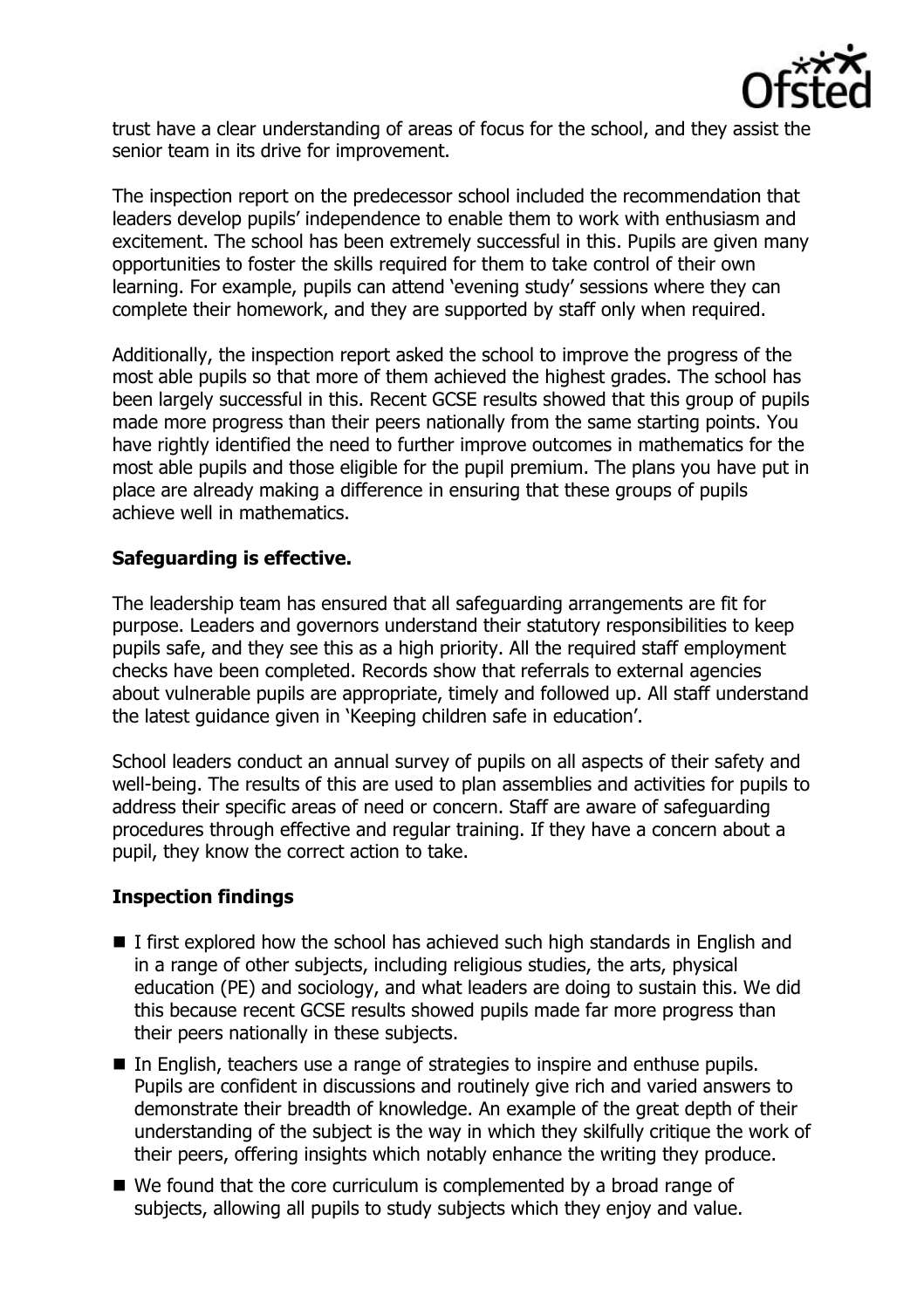

trust have a clear understanding of areas of focus for the school, and they assist the senior team in its drive for improvement.

The inspection report on the predecessor school included the recommendation that leaders develop pupils' independence to enable them to work with enthusiasm and excitement. The school has been extremely successful in this. Pupils are given many opportunities to foster the skills required for them to take control of their own learning. For example, pupils can attend 'evening study' sessions where they can complete their homework, and they are supported by staff only when required.

Additionally, the inspection report asked the school to improve the progress of the most able pupils so that more of them achieved the highest grades. The school has been largely successful in this. Recent GCSE results showed that this group of pupils made more progress than their peers nationally from the same starting points. You have rightly identified the need to further improve outcomes in mathematics for the most able pupils and those eligible for the pupil premium. The plans you have put in place are already making a difference in ensuring that these groups of pupils achieve well in mathematics.

## **Safeguarding is effective.**

The leadership team has ensured that all safeguarding arrangements are fit for purpose. Leaders and governors understand their statutory responsibilities to keep pupils safe, and they see this as a high priority. All the required staff employment checks have been completed. Records show that referrals to external agencies about vulnerable pupils are appropriate, timely and followed up. All staff understand the latest guidance given in 'Keeping children safe in education'.

School leaders conduct an annual survey of pupils on all aspects of their safety and well-being. The results of this are used to plan assemblies and activities for pupils to address their specific areas of need or concern. Staff are aware of safeguarding procedures through effective and regular training. If they have a concern about a pupil, they know the correct action to take.

# **Inspection findings**

- $\blacksquare$  I first explored how the school has achieved such high standards in English and in a range of other subjects, including religious studies, the arts, physical education (PE) and sociology, and what leaders are doing to sustain this. We did this because recent GCSE results showed pupils made far more progress than their peers nationally in these subjects.
- In English, teachers use a range of strategies to inspire and enthuse pupils. Pupils are confident in discussions and routinely give rich and varied answers to demonstrate their breadth of knowledge. An example of the great depth of their understanding of the subject is the way in which they skilfully critique the work of their peers, offering insights which notably enhance the writing they produce.
- We found that the core curriculum is complemented by a broad range of subjects, allowing all pupils to study subjects which they enjoy and value.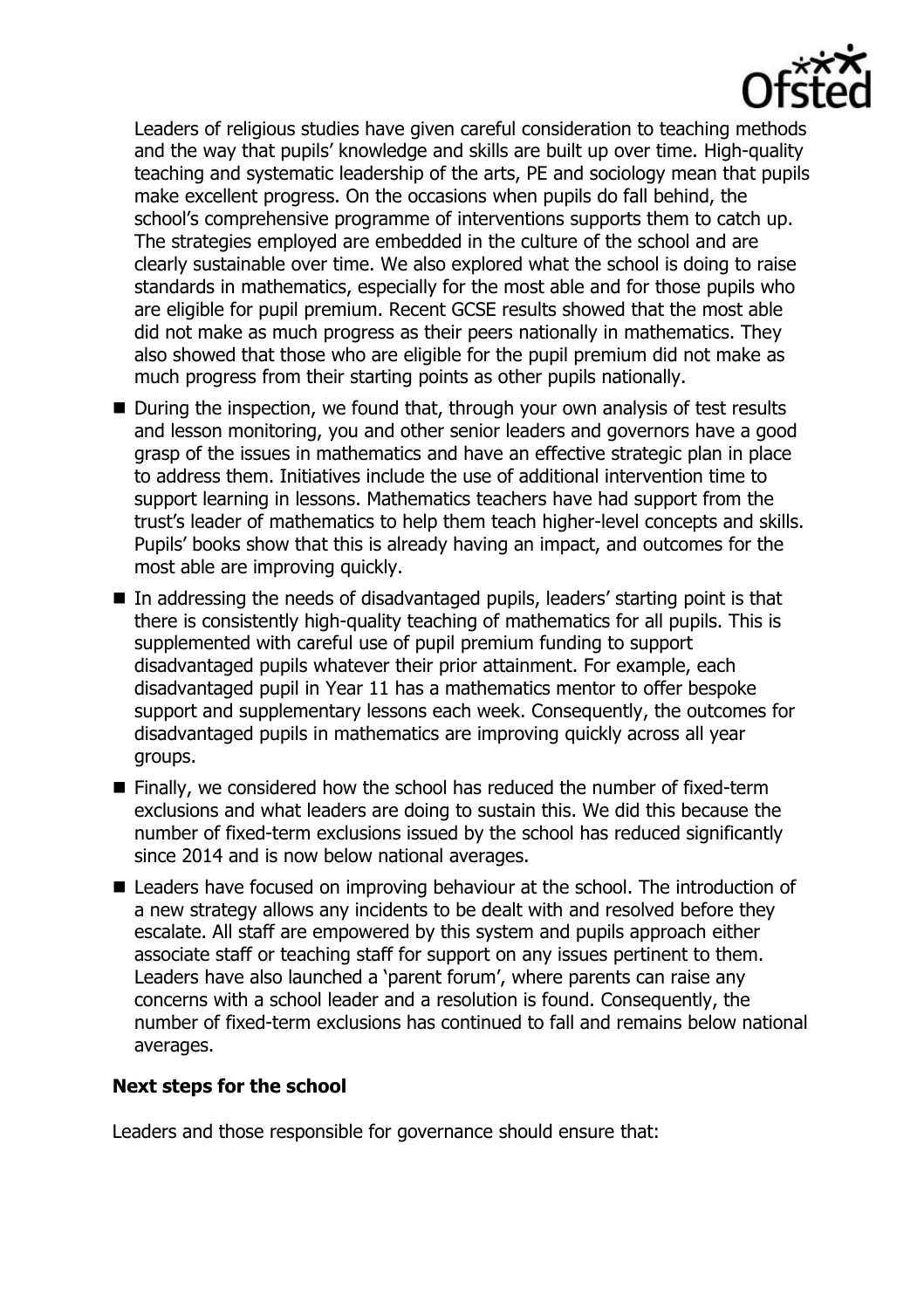

Leaders of religious studies have given careful consideration to teaching methods and the way that pupils' knowledge and skills are built up over time. High-quality teaching and systematic leadership of the arts, PE and sociology mean that pupils make excellent progress. On the occasions when pupils do fall behind, the school's comprehensive programme of interventions supports them to catch up. The strategies employed are embedded in the culture of the school and are clearly sustainable over time. We also explored what the school is doing to raise standards in mathematics, especially for the most able and for those pupils who are eligible for pupil premium. Recent GCSE results showed that the most able did not make as much progress as their peers nationally in mathematics. They also showed that those who are eligible for the pupil premium did not make as much progress from their starting points as other pupils nationally.

- During the inspection, we found that, through your own analysis of test results and lesson monitoring, you and other senior leaders and governors have a good grasp of the issues in mathematics and have an effective strategic plan in place to address them. Initiatives include the use of additional intervention time to support learning in lessons. Mathematics teachers have had support from the trust's leader of mathematics to help them teach higher-level concepts and skills. Pupils' books show that this is already having an impact, and outcomes for the most able are improving quickly.
- In addressing the needs of disadvantaged pupils, leaders' starting point is that there is consistently high-quality teaching of mathematics for all pupils. This is supplemented with careful use of pupil premium funding to support disadvantaged pupils whatever their prior attainment. For example, each disadvantaged pupil in Year 11 has a mathematics mentor to offer bespoke support and supplementary lessons each week. Consequently, the outcomes for disadvantaged pupils in mathematics are improving quickly across all year groups.
- Finally, we considered how the school has reduced the number of fixed-term exclusions and what leaders are doing to sustain this. We did this because the number of fixed-term exclusions issued by the school has reduced significantly since 2014 and is now below national averages.
- Leaders have focused on improving behaviour at the school. The introduction of a new strategy allows any incidents to be dealt with and resolved before they escalate. All staff are empowered by this system and pupils approach either associate staff or teaching staff for support on any issues pertinent to them. Leaders have also launched a 'parent forum', where parents can raise any concerns with a school leader and a resolution is found. Consequently, the number of fixed-term exclusions has continued to fall and remains below national averages.

### **Next steps for the school**

Leaders and those responsible for governance should ensure that: